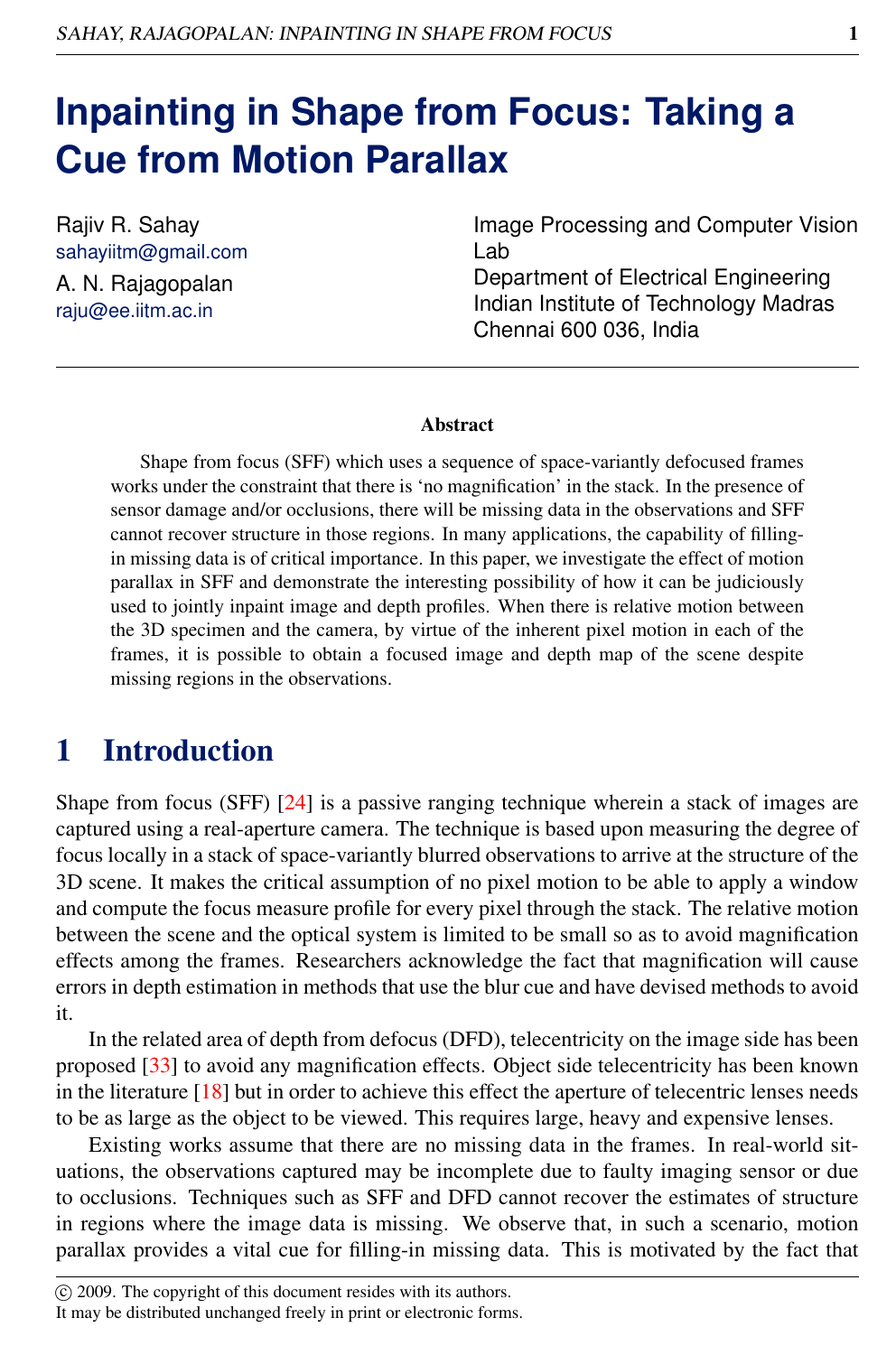# **Inpainting in Shape from Focus: Taking a Cue from Motion Parallax**

Rajiv R. Sahay sahayiitm@gmail.com A. N. Rajagopalan raju@ee.iitm.ac.in

Image Processing and Computer Vision Lab Department of Electrical Engineering Indian Institute of Technology Madras Chennai 600 036, India

#### Abstract

Shape from focus (SFF) which uses a sequence of space-variantly defocused frames works under the constraint that there is 'no magnification' in the stack. In the presence of sensor damage and/or occlusions, there will be missing data in the observations and SFF cannot recover structure in those regions. In many applications, the capability of fillingin missing data is of critical importance. In this paper, we investigate the effect of motion parallax in SFF and demonstrate the interesting possibility of how it can be judiciously used to jointly inpaint image and depth profiles. When there is relative motion between the 3D specimen and the camera, by virtue of the inherent pixel motion in each of the frames, it is possible to obtain a focused image and depth map of the scene despite missing regions in the observations.

# 1 Introduction

Shape from focus (SFF) [24] is a passive ranging technique wherein a stack of images are captured using a real-aperture camera. The technique is based upon measuring the degree of focus locally in a stack of space-variantly blurred observations to arrive at the structure of the 3D scene. It makes the critical assumption of no pixel motion to be able to apply a window and compute the focus measure profile for every pixel through the stack. The relative motion between the scene and the optical system is limited to be small so as to avoid magnification effects among the frames. Researchers acknowledge the fact that magnification will cause errors in depth estimation in methods that use the blur cue and have devised methods to avoid it.

In the related area of depth from defocus (DFD), telecentricity on the image side has been proposed [33] to avoid any magnification effects. Object side telecentricity has been known in the literature  $[18]$  but in order to achieve this effect the aperture of telecentric lenses needs to be as large as the object to be viewed. This requires large, heavy and expensive lenses.

Existing works assume that there are no missing data in the frames. In real-world situations, the observations captured may be incomplete due to faulty imaging sensor or due to occlusions. Techniques such as SFF and DFD cannot recover the estimates of structure in regions where the image data is missing. We observe that, in such a scenario, motion parallax provides a vital cue for filling-in missing data. This is motivated by the fact that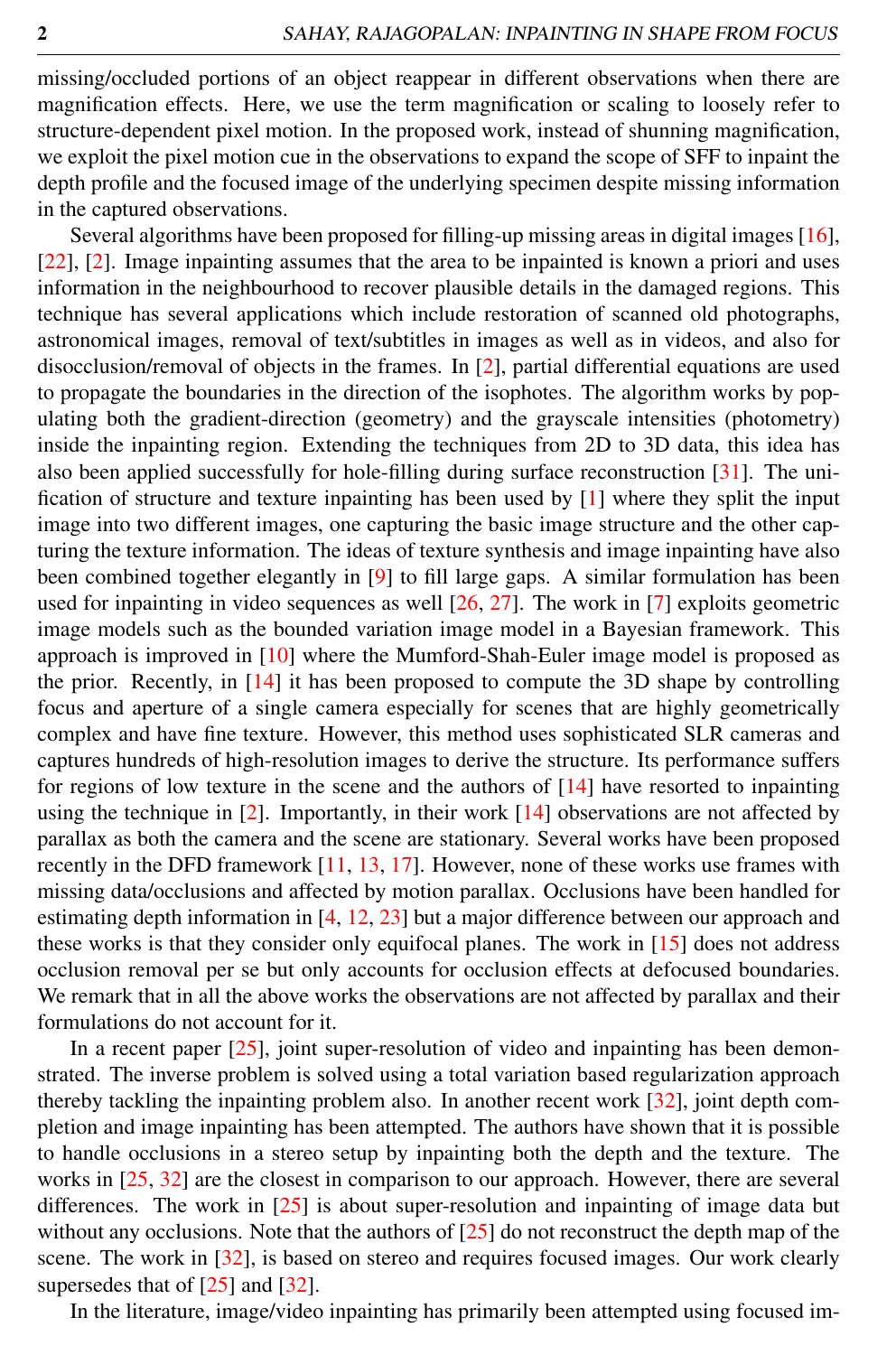missing/occluded portions of an object reappear in different observations when there are magnification effects. Here, we use the term magnification or scaling to loosely refer to structure-dependent pixel motion. In the proposed work, instead of shunning magnification, we exploit the pixel motion cue in the observations to expand the scope of SFF to inpaint the depth profile and the focused image of the underlying specimen despite missing information in the captured observations.

Several algorithms have been proposed for filling-up missing areas in digital images [16], [22], [2]. Image inpainting assumes that the area to be inpainted is known a priori and uses information in the neighbourhood to recover plausible details in the damaged regions. This technique has several applications which include restoration of scanned old photographs, astronomical images, removal of text/subtitles in images as well as in videos, and also for disocclusion/removal of objects in the frames. In [2], partial differential equations are used to propagate the boundaries in the direction of the isophotes. The algorithm works by populating both the gradient-direction (geometry) and the grayscale intensities (photometry) inside the inpainting region. Extending the techniques from 2D to 3D data, this idea has also been applied successfully for hole-filling during surface reconstruction [31]. The unification of structure and texture inpainting has been used by [1] where they split the input image into two different images, one capturing the basic image structure and the other capturing the texture information. The ideas of texture synthesis and image inpainting have also been combined together elegantly in [9] to fill large gaps. A similar formulation has been used for inpainting in video sequences as well [26, 27]. The work in [7] exploits geometric image models such as the bounded variation image model in a Bayesian framework. This approach is improved in [10] where the Mumford-Shah-Euler image model is proposed as the prior. Recently, in [14] it has been proposed to compute the 3D shape by controlling focus and aperture of a single camera especially for scenes that are highly geometrically complex and have fine texture. However, this method uses sophisticated SLR cameras and captures hundreds of high-resolution images to derive the structure. Its performance suffers for regions of low texture in the scene and the authors of [14] have resorted to inpainting using the technique in [2]. Importantly, in their work [14] observations are not affected by parallax as both the camera and the scene are stationary. Several works have been proposed recently in the DFD framework [11, 13, 17]. However, none of these works use frames with missing data/occlusions and affected by motion parallax. Occlusions have been handled for estimating depth information in [4, 12, 23] but a major difference between our approach and these works is that they consider only equifocal planes. The work in [15] does not address occlusion removal per se but only accounts for occlusion effects at defocused boundaries. We remark that in all the above works the observations are not affected by parallax and their formulations do not account for it.

In a recent paper  $[25]$ , joint super-resolution of video and inpainting has been demonstrated. The inverse problem is solved using a total variation based regularization approach thereby tackling the inpainting problem also. In another recent work [32], joint depth completion and image inpainting has been attempted. The authors have shown that it is possible to handle occlusions in a stereo setup by inpainting both the depth and the texture. The works in [25, 32] are the closest in comparison to our approach. However, there are several differences. The work in [25] is about super-resolution and inpainting of image data but without any occlusions. Note that the authors of [25] do not reconstruct the depth map of the scene. The work in [32], is based on stereo and requires focused images. Our work clearly supersedes that of [25] and [32].

In the literature, image/video inpainting has primarily been attempted using focused im-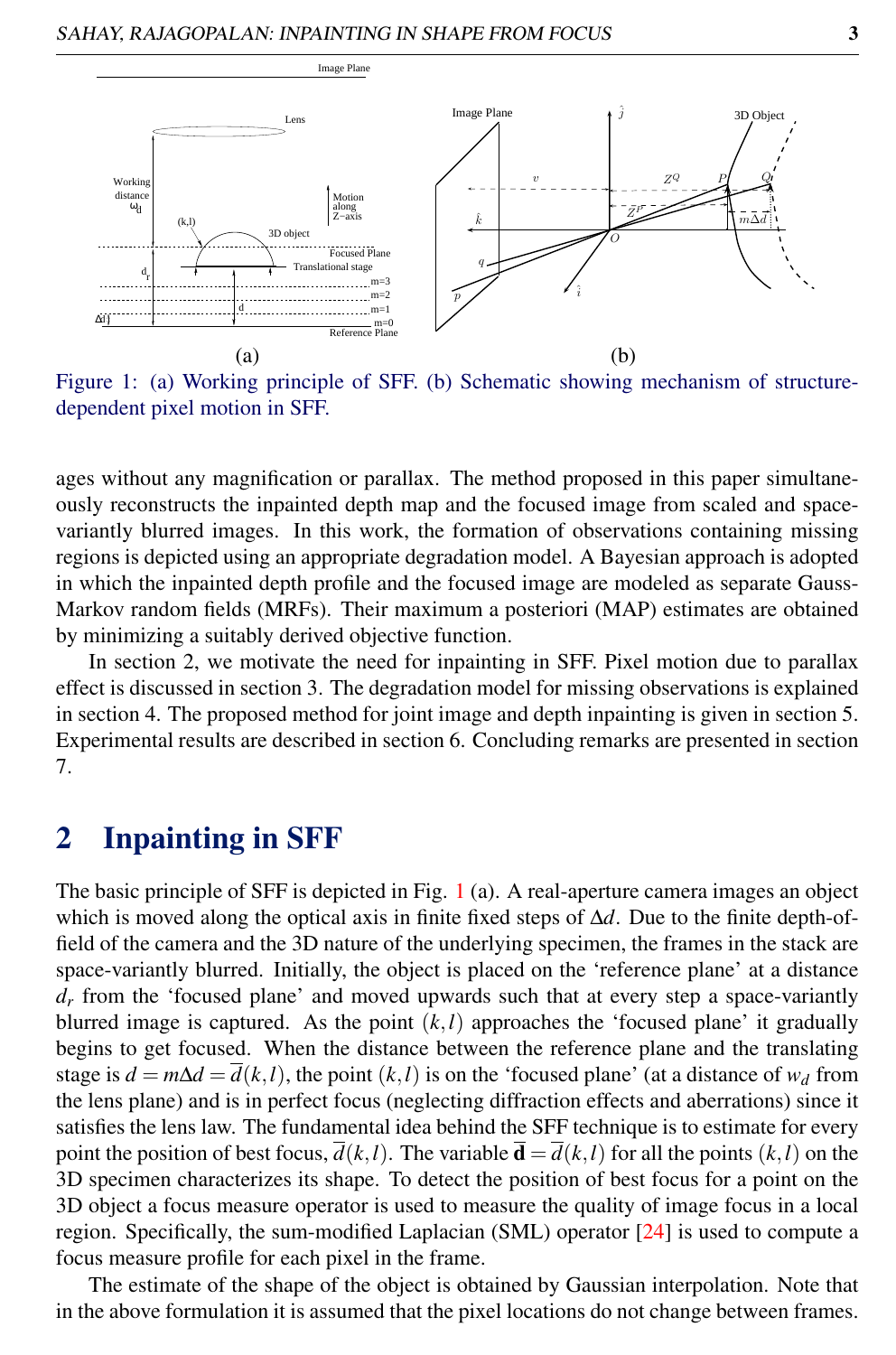

Figure 1: (a) Working principle of SFF. (b) Schematic showing mechanism of structuredependent pixel motion in SFF.

ages without any magnification or parallax. The method proposed in this paper simultaneously reconstructs the inpainted depth map and the focused image from scaled and spacevariantly blurred images. In this work, the formation of observations containing missing regions is depicted using an appropriate degradation model. A Bayesian approach is adopted in which the inpainted depth profile and the focused image are modeled as separate Gauss-Markov random fields (MRFs). Their maximum a posteriori (MAP) estimates are obtained by minimizing a suitably derived objective function.

In section 2, we motivate the need for inpainting in SFF. Pixel motion due to parallax effect is discussed in section 3. The degradation model for missing observations is explained in section 4. The proposed method for joint image and depth inpainting is given in section 5. Experimental results are described in section 6. Concluding remarks are presented in section 7.

# 2 Inpainting in SFF

The basic principle of SFF is depicted in Fig. 1 (a). A real-aperture camera images an object which is moved along the optical axis in finite fixed steps of ∆*d*. Due to the finite depth-offield of the camera and the 3D nature of the underlying specimen, the frames in the stack are space-variantly blurred. Initially, the object is placed on the 'reference plane' at a distance  $d<sub>r</sub>$  from the 'focused plane' and moved upwards such that at every step a space-variantly blurred image is captured. As the point  $(k, l)$  approaches the 'focused plane' it gradually begins to get focused. When the distance between the reference plane and the translating stage is  $d = m\Delta d = d(k, l)$ , the point  $(k, l)$  is on the 'focused plane' (at a distance of  $w_d$  from the lens plane) and is in perfect focus (neglecting diffraction effects and aberrations) since it satisfies the lens law. The fundamental idea behind the SFF technique is to estimate for every point the position of best focus,  $d(k,l)$ . The variable  $\mathbf{d} = d(k,l)$  for all the points  $(k,l)$  on the 3D specimen characterizes its shape. To detect the position of best focus for a point on the 3D object a focus measure operator is used to measure the quality of image focus in a local region. Specifically, the sum-modified Laplacian (SML) operator [24] is used to compute a focus measure profile for each pixel in the frame.

The estimate of the shape of the object is obtained by Gaussian interpolation. Note that in the above formulation it is assumed that the pixel locations do not change between frames.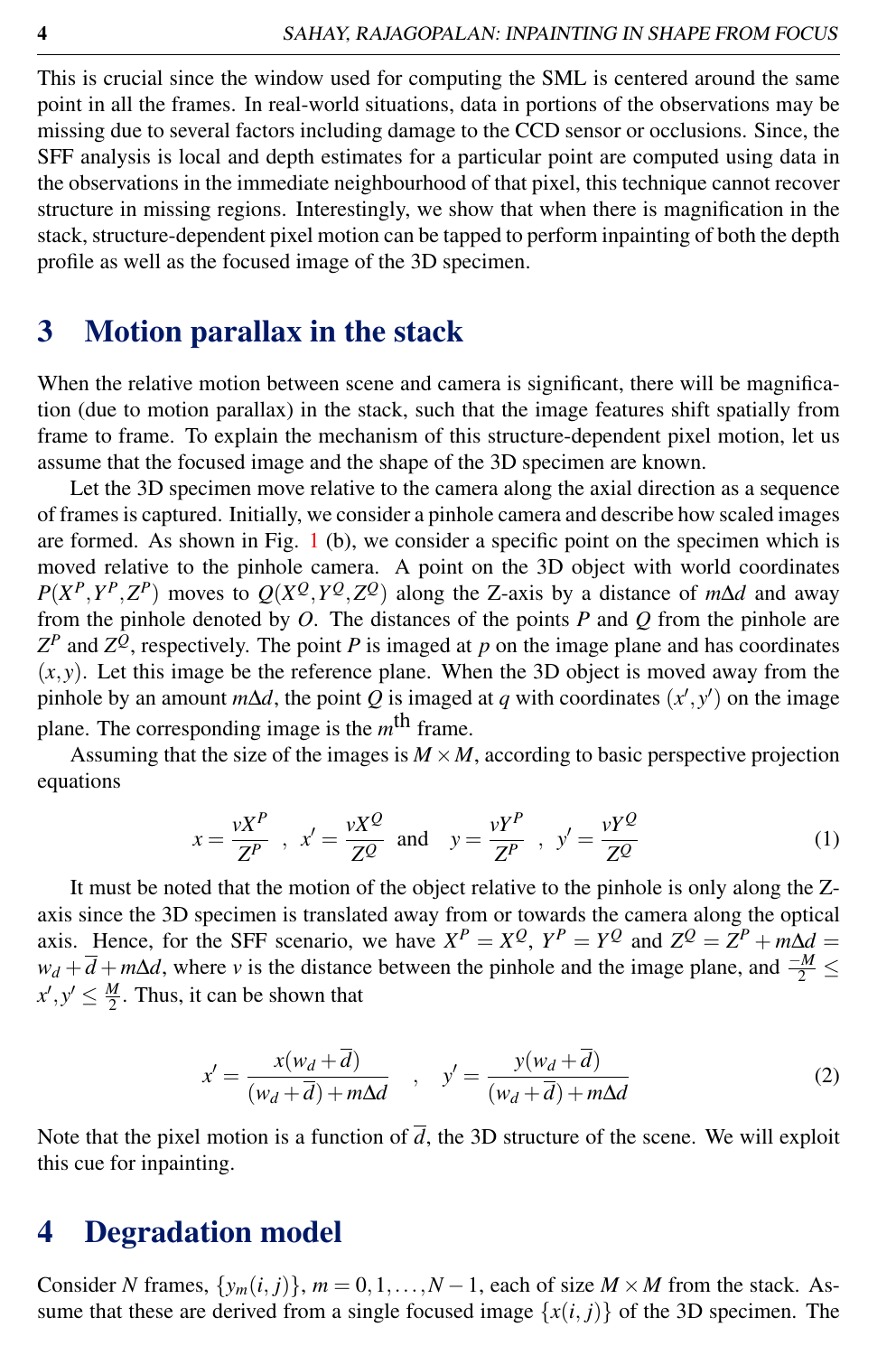This is crucial since the window used for computing the SML is centered around the same point in all the frames. In real-world situations, data in portions of the observations may be missing due to several factors including damage to the CCD sensor or occlusions. Since, the SFF analysis is local and depth estimates for a particular point are computed using data in the observations in the immediate neighbourhood of that pixel, this technique cannot recover structure in missing regions. Interestingly, we show that when there is magnification in the stack, structure-dependent pixel motion can be tapped to perform inpainting of both the depth profile as well as the focused image of the 3D specimen.

# 3 Motion parallax in the stack

When the relative motion between scene and camera is significant, there will be magnification (due to motion parallax) in the stack, such that the image features shift spatially from frame to frame. To explain the mechanism of this structure-dependent pixel motion, let us assume that the focused image and the shape of the 3D specimen are known.

Let the 3D specimen move relative to the camera along the axial direction as a sequence of frames is captured. Initially, we consider a pinhole camera and describe how scaled images are formed. As shown in Fig. 1 (b), we consider a specific point on the specimen which is moved relative to the pinhole camera. A point on the 3D object with world coordinates  $P(X^P, Y^P, Z^P)$  moves to  $Q(X^Q, Y^Q, Z^Q)$  along the Z-axis by a distance of *m*∆*d* and away from the pinhole denoted by *O*. The distances of the points *P* and *Q* from the pinhole are  $Z^P$  and  $Z^Q$ , respectively. The point *P* is imaged at *p* on the image plane and has coordinates  $(x, y)$ . Let this image be the reference plane. When the 3D object is moved away from the pinhole by an amount  $m\Delta d$ , the point *Q* is imaged at *q* with coordinates  $(x', y')$  on the image plane. The corresponding image is the *m*<sup>th</sup> frame.

Assuming that the size of the images is  $M \times M$ , according to basic perspective projection equations

$$
x = \frac{vX^P}{Z^P} \quad , \quad x' = \frac{vX^Q}{Z^Q} \quad \text{and} \quad y = \frac{vY^P}{Z^P} \quad , \quad y' = \frac{vY^Q}{Z^Q} \tag{1}
$$

It must be noted that the motion of the object relative to the pinhole is only along the Zaxis since the 3D specimen is translated away from or towards the camera along the optical axis. Hence, for the SFF scenario, we have  $X^P = X^Q$ ,  $Y^P = Y^Q$  and  $Z^Q = Z^P + m\Delta d =$  $w_d + \overline{d} + m\Delta d$ , where *v* is the distance between the pinhole and the image plane, and  $\frac{-M}{2} \leq$  $x', y' \leq \frac{M}{2}$ . Thus, it can be shown that

$$
x' = \frac{x(w_d + \overline{d})}{(w_d + \overline{d}) + m\Delta d} \quad , \quad y' = \frac{y(w_d + \overline{d})}{(w_d + \overline{d}) + m\Delta d} \tag{2}
$$

Note that the pixel motion is a function of  $\overline{d}$ , the 3D structure of the scene. We will exploit this cue for inpainting.

### 4 Degradation model

Consider *N* frames,  $\{y_m(i, j)\}\$ ,  $m = 0, 1, \ldots, N - 1$ , each of size  $M \times M$  from the stack. Assume that these are derived from a single focused image  $\{x(i, j)\}\$  of the 3D specimen. The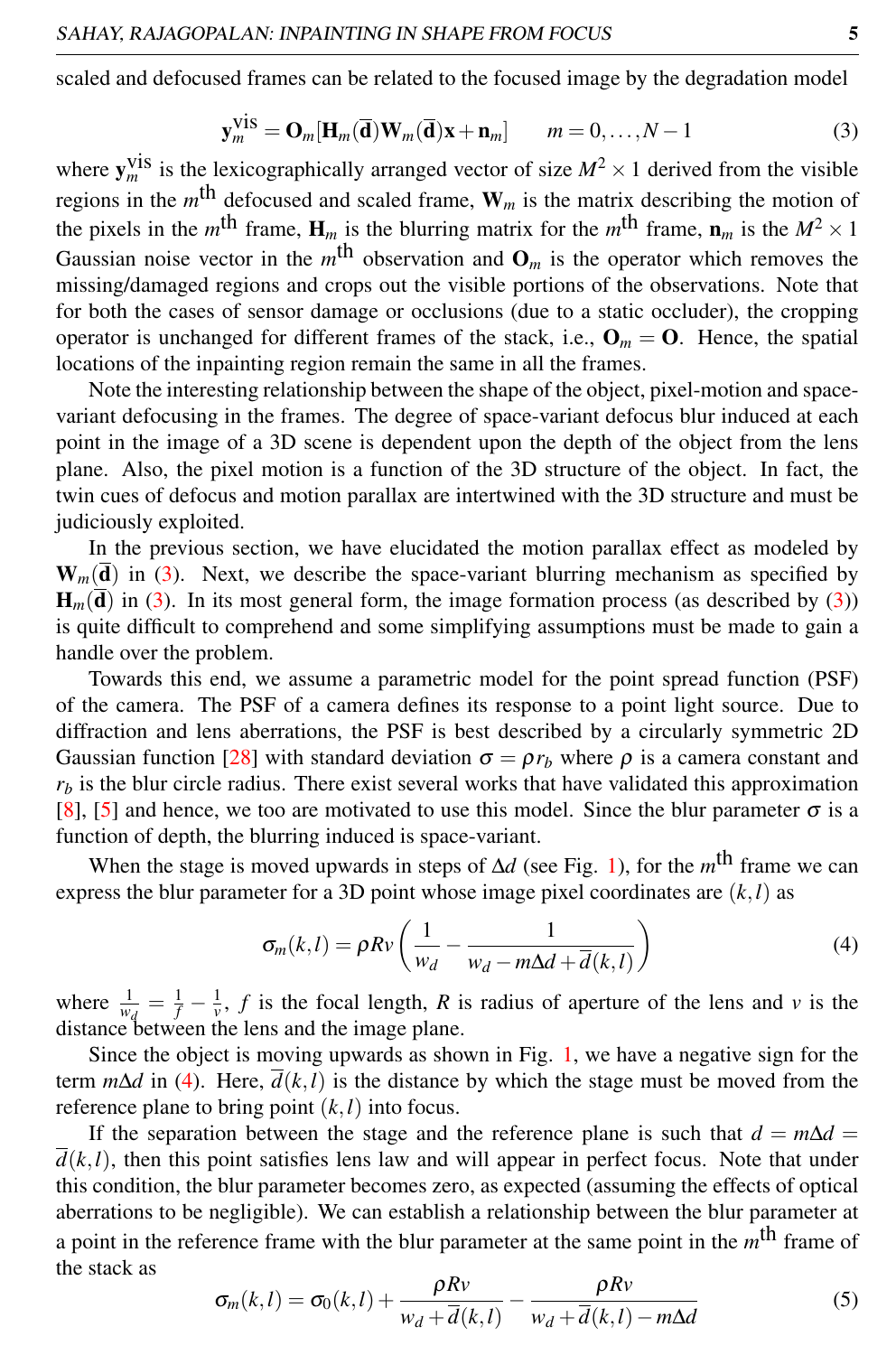scaled and defocused frames can be related to the focused image by the degradation model

$$
\mathbf{y}_m^{\text{vis}} = \mathbf{O}_m[\mathbf{H}_m(\overline{\mathbf{d}})\mathbf{W}_m(\overline{\mathbf{d}})\mathbf{x} + \mathbf{n}_m] \qquad m = 0, \dots, N - 1 \tag{3}
$$

where  $y_m^{\text{vis}}$  is the lexicographically arranged vector of size  $M^2 \times 1$  derived from the visible regions in the  $m<sup>th</sup>$  defocused and scaled frame,  $W_m$  is the matrix describing the motion of the pixels in the  $m^{\text{th}}$  frame,  $H_m$  is the blurring matrix for the  $m^{\text{th}}$  frame,  $n_m$  is the  $M^2 \times 1$ Gaussian noise vector in the  $m<sup>th</sup>$  observation and  $O_m$  is the operator which removes the missing/damaged regions and crops out the visible portions of the observations. Note that for both the cases of sensor damage or occlusions (due to a static occluder), the cropping operator is unchanged for different frames of the stack, i.e.,  $\mathbf{O}_m = \mathbf{O}$ . Hence, the spatial locations of the inpainting region remain the same in all the frames.

Note the interesting relationship between the shape of the object, pixel-motion and spacevariant defocusing in the frames. The degree of space-variant defocus blur induced at each point in the image of a 3D scene is dependent upon the depth of the object from the lens plane. Also, the pixel motion is a function of the 3D structure of the object. In fact, the twin cues of defocus and motion parallax are intertwined with the 3D structure and must be judiciously exploited.

In the previous section, we have elucidated the motion parallax effect as modeled by  $W_m(\overline{d})$  in (3). Next, we describe the space-variant blurring mechanism as specified by  $H_m(\overline{d})$  in (3). In its most general form, the image formation process (as described by (3)) is quite difficult to comprehend and some simplifying assumptions must be made to gain a handle over the problem.

Towards this end, we assume a parametric model for the point spread function (PSF) of the camera. The PSF of a camera defines its response to a point light source. Due to diffraction and lens aberrations, the PSF is best described by a circularly symmetric 2D Gaussian function [28] with standard deviation  $\sigma = \rho r_b$  where  $\rho$  is a camera constant and  $r_b$  is the blur circle radius. There exist several works that have validated this approximation [8], [5] and hence, we too are motivated to use this model. Since the blur parameter  $\sigma$  is a function of depth, the blurring induced is space-variant.

When the stage is moved upwards in steps of  $\Delta d$  (see Fig. 1), for the *m*<sup>th</sup> frame we can express the blur parameter for a 3D point whose image pixel coordinates are (*k*,*l*) as

$$
\sigma_m(k,l) = \rho R v \left( \frac{1}{w_d} - \frac{1}{w_d - m\Delta d + \overline{d}(k,l)} \right)
$$
(4)

where  $\frac{1}{w_d} = \frac{1}{f} - \frac{1}{v}$ , *f* is the focal length, *R* is radius of aperture of the lens and *v* is the distance between the lens and the image plane.

Since the object is moving upwards as shown in Fig. 1, we have a negative sign for the term  $m\Delta d$  in (4). Here,  $d(k, l)$  is the distance by which the stage must be moved from the reference plane to bring point  $(k, l)$  into focus.

If the separation between the stage and the reference plane is such that  $d = m\Delta d =$  $\overline{d}(k,l)$ , then this point satisfies lens law and will appear in perfect focus. Note that under this condition, the blur parameter becomes zero, as expected (assuming the effects of optical aberrations to be negligible). We can establish a relationship between the blur parameter at a point in the reference frame with the blur parameter at the same point in the  $m^{\text{th}}$  frame of the stack as

$$
\sigma_m(k,l) = \sigma_0(k,l) + \frac{\rho R v}{w_d + \overline{d}(k,l)} - \frac{\rho R v}{w_d + \overline{d}(k,l) - m\Delta d}
$$
(5)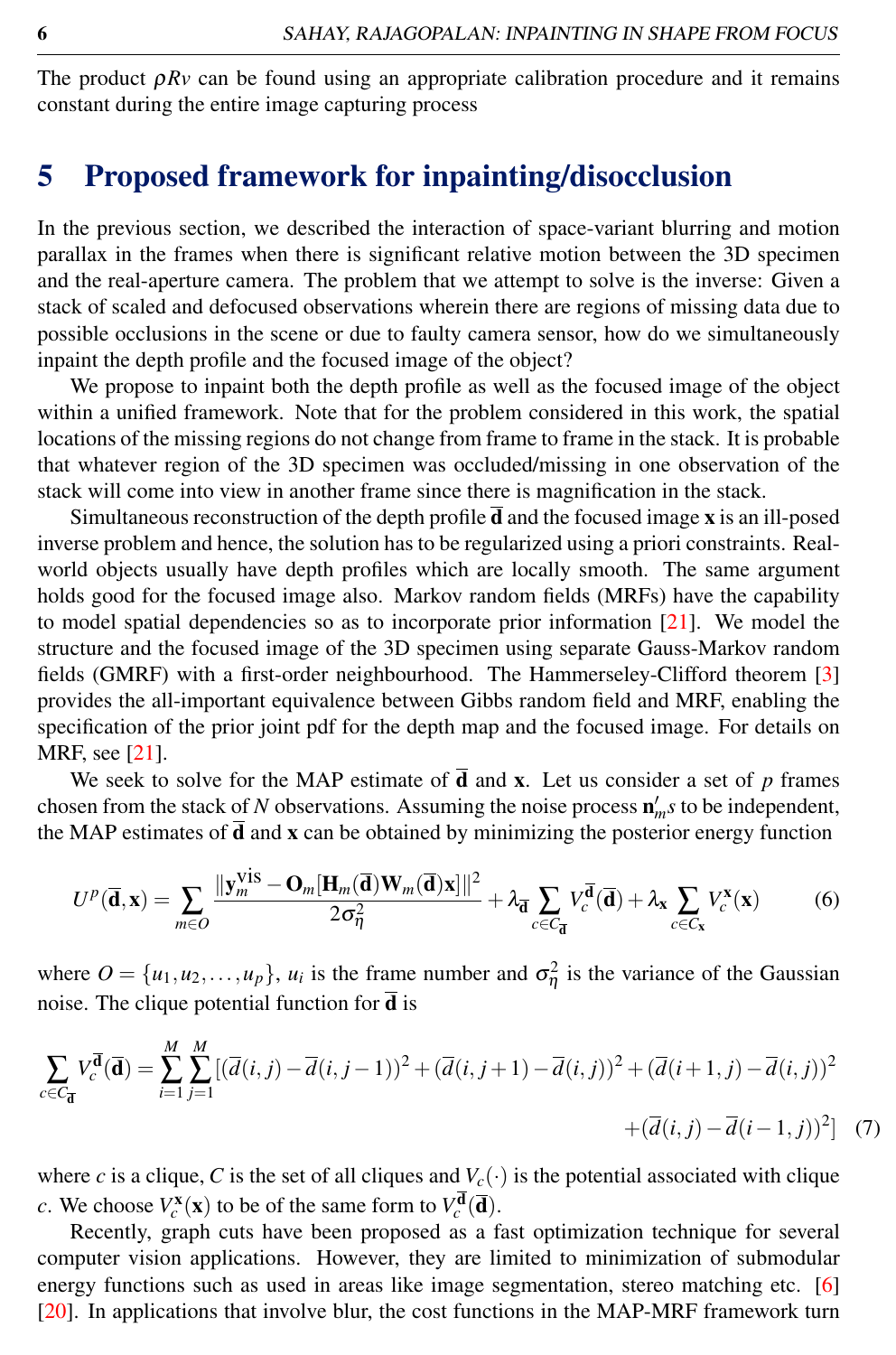The product  $\rho Rv$  can be found using an appropriate calibration procedure and it remains constant during the entire image capturing process

# 5 Proposed framework for inpainting/disocclusion

In the previous section, we described the interaction of space-variant blurring and motion parallax in the frames when there is significant relative motion between the 3D specimen and the real-aperture camera. The problem that we attempt to solve is the inverse: Given a stack of scaled and defocused observations wherein there are regions of missing data due to possible occlusions in the scene or due to faulty camera sensor, how do we simultaneously inpaint the depth profile and the focused image of the object?

We propose to inpaint both the depth profile as well as the focused image of the object within a unified framework. Note that for the problem considered in this work, the spatial locations of the missing regions do not change from frame to frame in the stack. It is probable that whatever region of the 3D specimen was occluded/missing in one observation of the stack will come into view in another frame since there is magnification in the stack.

Simultaneous reconstruction of the depth profile  $\overline{d}$  and the focused image x is an ill-posed inverse problem and hence, the solution has to be regularized using a priori constraints. Realworld objects usually have depth profiles which are locally smooth. The same argument holds good for the focused image also. Markov random fields (MRFs) have the capability to model spatial dependencies so as to incorporate prior information  $[21]$ . We model the structure and the focused image of the 3D specimen using separate Gauss-Markov random fields (GMRF) with a first-order neighbourhood. The Hammerseley-Clifford theorem [3] provides the all-important equivalence between Gibbs random field and MRF, enabling the specification of the prior joint pdf for the depth map and the focused image. For details on MRF, see [21].

We seek to solve for the MAP estimate of  $\overline{d}$  and **x**. Let us consider a set of *p* frames chosen from the stack of *N* observations. Assuming the noise process  $\mathbf{n}'_m s$  to be independent, the MAP estimates of  $\overline{d}$  and **x** can be obtained by minimizing the posterior energy function

$$
U^{p}(\overline{\mathbf{d}}, \mathbf{x}) = \sum_{m \in O} \frac{\|\mathbf{y}_{m}^{\text{vis}} - \mathbf{O}_{m}[\mathbf{H}_{m}(\overline{\mathbf{d}})\mathbf{W}_{m}(\overline{\mathbf{d}})\mathbf{x}]\|^{2}}{2\sigma_{\eta}^{2}} + \lambda_{\overline{\mathbf{d}}} \sum_{c \in C_{\overline{\mathbf{d}}}} V_{c}^{\overline{\mathbf{d}}}(\overline{\mathbf{d}}) + \lambda_{\mathbf{x}} \sum_{c \in C_{\mathbf{x}}} V_{c}^{\mathbf{x}}(\mathbf{x})
$$
(6)

where  $O = \{u_1, u_2, \dots, u_p\}$ ,  $u_i$  is the frame number and  $\sigma_{\eta}^2$  is the variance of the Gaussian noise. The clique potential function for  $\overline{d}$  is

$$
\sum_{c \in C_{\overline{\mathbf{d}}}} V_c^{\overline{\mathbf{d}}}(\overline{\mathbf{d}}) = \sum_{i=1}^{M} \sum_{j=1}^{M} [(\overline{d}(i,j) - \overline{d}(i,j-1))^2 + (\overline{d}(i,j+1) - \overline{d}(i,j))^2 + (\overline{d}(i+1,j) - \overline{d}(i,j))^2
$$
  
 
$$
+ (\overline{d}(i,j) - \overline{d}(i-1,j))^2] \tag{7}
$$

where *c* is a clique, *C* is the set of all cliques and  $V_c(\cdot)$  is the potential associated with clique *c*. We choose  $V_c^{\mathbf{x}}(\mathbf{x})$  to be of the same form to  $V_c^{\mathbf{d}}(\overline{\mathbf{d}})$ .

Recently, graph cuts have been proposed as a fast optimization technique for several computer vision applications. However, they are limited to minimization of submodular energy functions such as used in areas like image segmentation, stereo matching etc. [6] [20]. In applications that involve blur, the cost functions in the MAP-MRF framework turn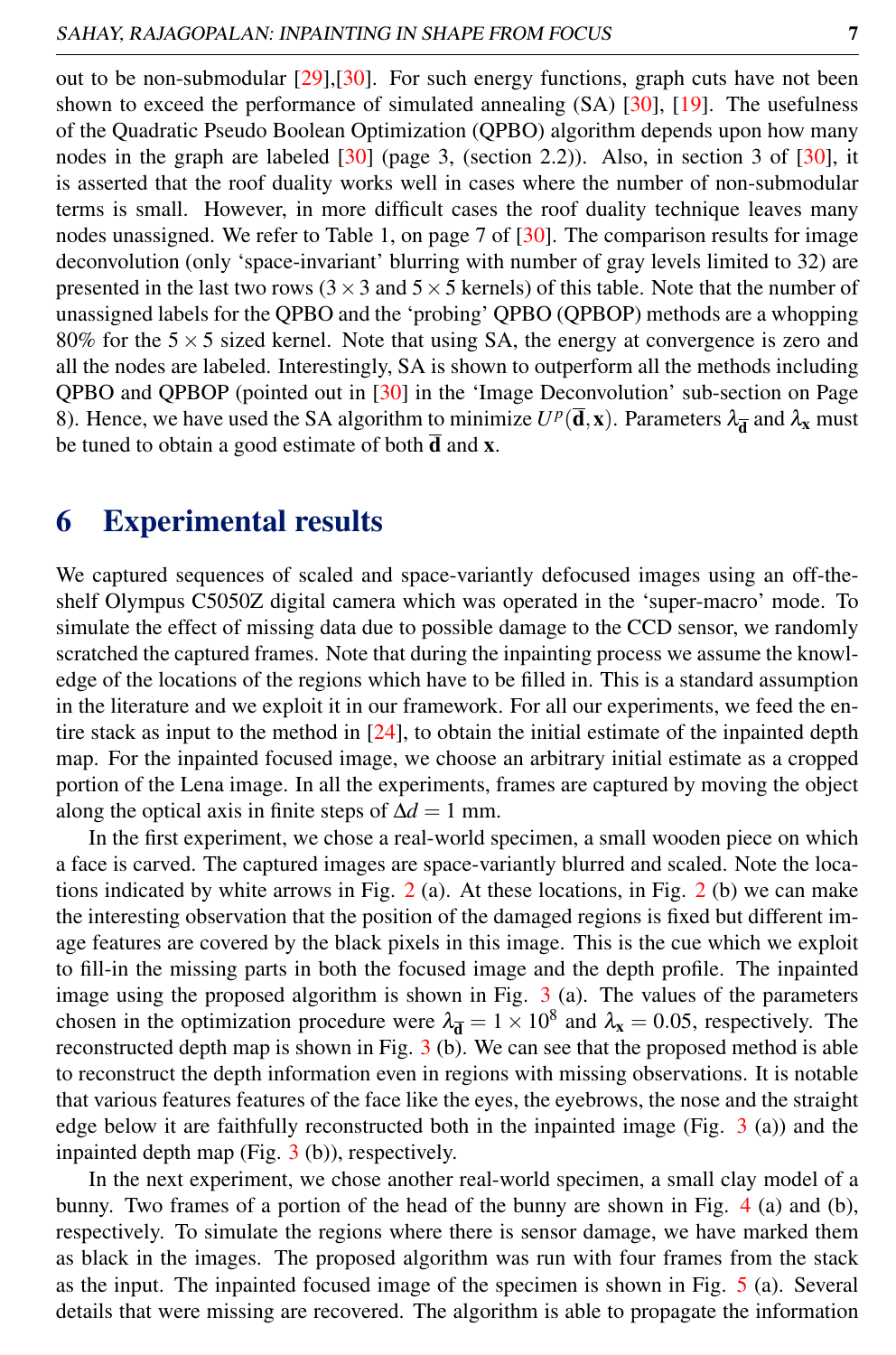out to be non-submodular [29],[30]. For such energy functions, graph cuts have not been shown to exceed the performance of simulated annealing (SA) [30], [19]. The usefulness of the Quadratic Pseudo Boolean Optimization (QPBO) algorithm depends upon how many nodes in the graph are labeled [30] (page 3, (section 2.2)). Also, in section 3 of [30], it is asserted that the roof duality works well in cases where the number of non-submodular terms is small. However, in more difficult cases the roof duality technique leaves many nodes unassigned. We refer to Table 1, on page 7 of [30]. The comparison results for image deconvolution (only 'space-invariant' blurring with number of gray levels limited to 32) are presented in the last two rows ( $3 \times 3$  and  $5 \times 5$  kernels) of this table. Note that the number of unassigned labels for the QPBO and the 'probing' QPBO (QPBOP) methods are a whopping 80% for the  $5 \times 5$  sized kernel. Note that using SA, the energy at convergence is zero and all the nodes are labeled. Interestingly, SA is shown to outperform all the methods including QPBO and QPBOP (pointed out in [30] in the 'Image Deconvolution' sub-section on Page 8). Hence, we have used the SA algorithm to minimize  $U^p(\bar{d}, x)$ . Parameters  $\lambda_{\bar{d}}$  and  $\lambda_x$  must be tuned to obtain a good estimate of both  $\overline{d}$  and **x**.

# 6 Experimental results

We captured sequences of scaled and space-variantly defocused images using an off-theshelf Olympus C5050Z digital camera which was operated in the 'super-macro' mode. To simulate the effect of missing data due to possible damage to the CCD sensor, we randomly scratched the captured frames. Note that during the inpainting process we assume the knowledge of the locations of the regions which have to be filled in. This is a standard assumption in the literature and we exploit it in our framework. For all our experiments, we feed the entire stack as input to the method in  $[24]$ , to obtain the initial estimate of the inpainted depth map. For the inpainted focused image, we choose an arbitrary initial estimate as a cropped portion of the Lena image. In all the experiments, frames are captured by moving the object along the optical axis in finite steps of  $\Delta d = 1$  mm.

In the first experiment, we chose a real-world specimen, a small wooden piece on which a face is carved. The captured images are space-variantly blurred and scaled. Note the locations indicated by white arrows in Fig.  $2$  (a). At these locations, in Fig.  $2$  (b) we can make the interesting observation that the position of the damaged regions is fixed but different image features are covered by the black pixels in this image. This is the cue which we exploit to fill-in the missing parts in both the focused image and the depth profile. The inpainted image using the proposed algorithm is shown in Fig.  $3$  (a). The values of the parameters chosen in the optimization procedure were  $\lambda_{\overline{d}} = 1 \times 10^8$  and  $\lambda_x = 0.05$ , respectively. The reconstructed depth map is shown in Fig.  $3$  (b). We can see that the proposed method is able to reconstruct the depth information even in regions with missing observations. It is notable that various features features of the face like the eyes, the eyebrows, the nose and the straight edge below it are faithfully reconstructed both in the inpainted image (Fig. 3 (a)) and the inpainted depth map (Fig. 3 (b)), respectively.

In the next experiment, we chose another real-world specimen, a small clay model of a bunny. Two frames of a portion of the head of the bunny are shown in Fig. 4 (a) and (b), respectively. To simulate the regions where there is sensor damage, we have marked them as black in the images. The proposed algorithm was run with four frames from the stack as the input. The inpainted focused image of the specimen is shown in Fig. 5 (a). Several details that were missing are recovered. The algorithm is able to propagate the information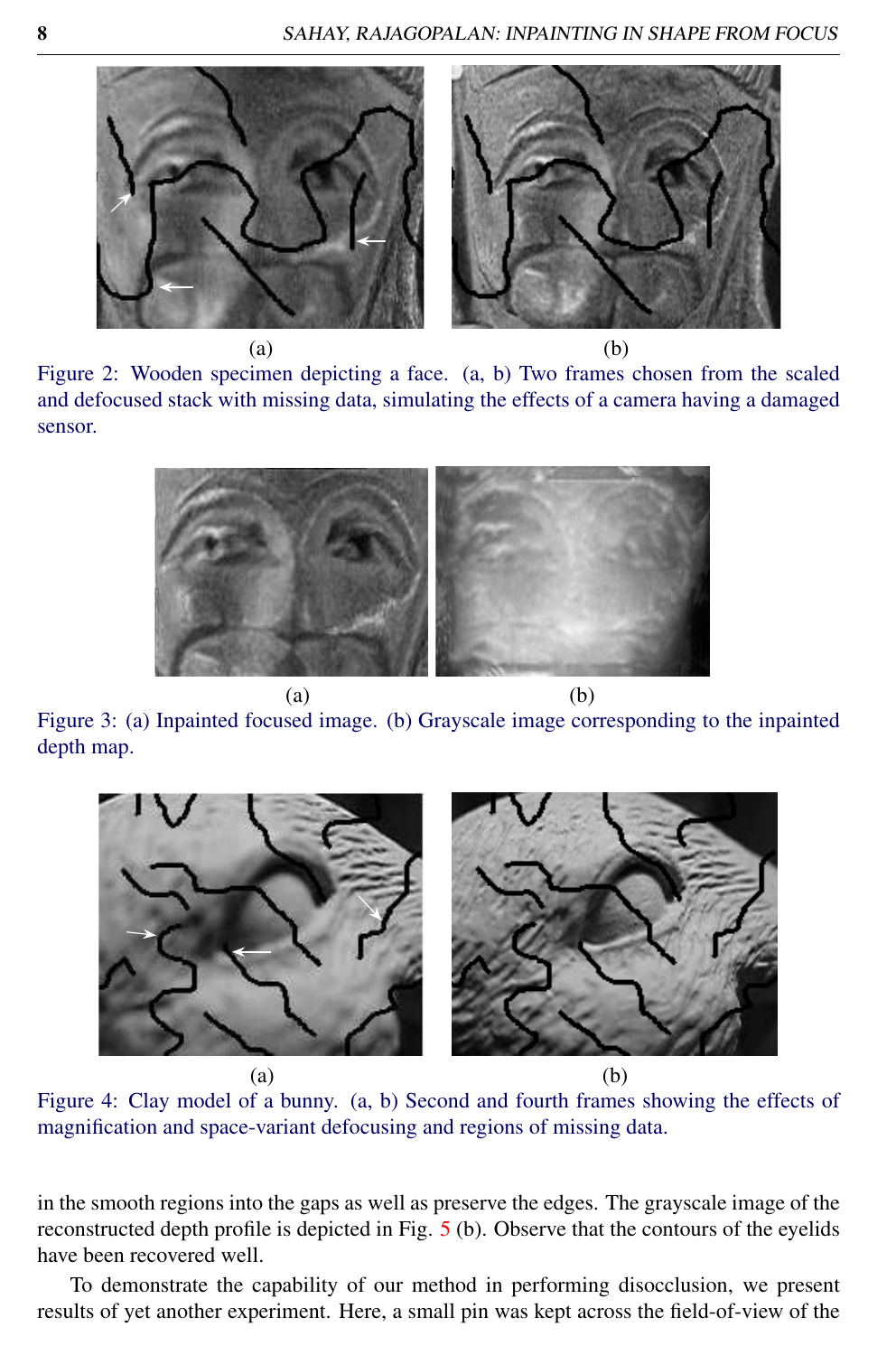

Figure 2: Wooden specimen depicting a face. (a, b) Two frames chosen from the scaled and defocused stack with missing data, simulating the effects of a camera having a damaged sensor.



Figure 3: (a) Inpainted focused image. (b) Grayscale image corresponding to the inpainted depth map.



 $(a)$  (b)

Figure 4: Clay model of a bunny. (a, b) Second and fourth frames showing the effects of magnification and space-variant defocusing and regions of missing data.

in the smooth regions into the gaps as well as preserve the edges. The grayscale image of the reconstructed depth profile is depicted in Fig. 5 (b). Observe that the contours of the eyelids have been recovered well.

To demonstrate the capability of our method in performing disocclusion, we present results of yet another experiment. Here, a small pin was kept across the field-of-view of the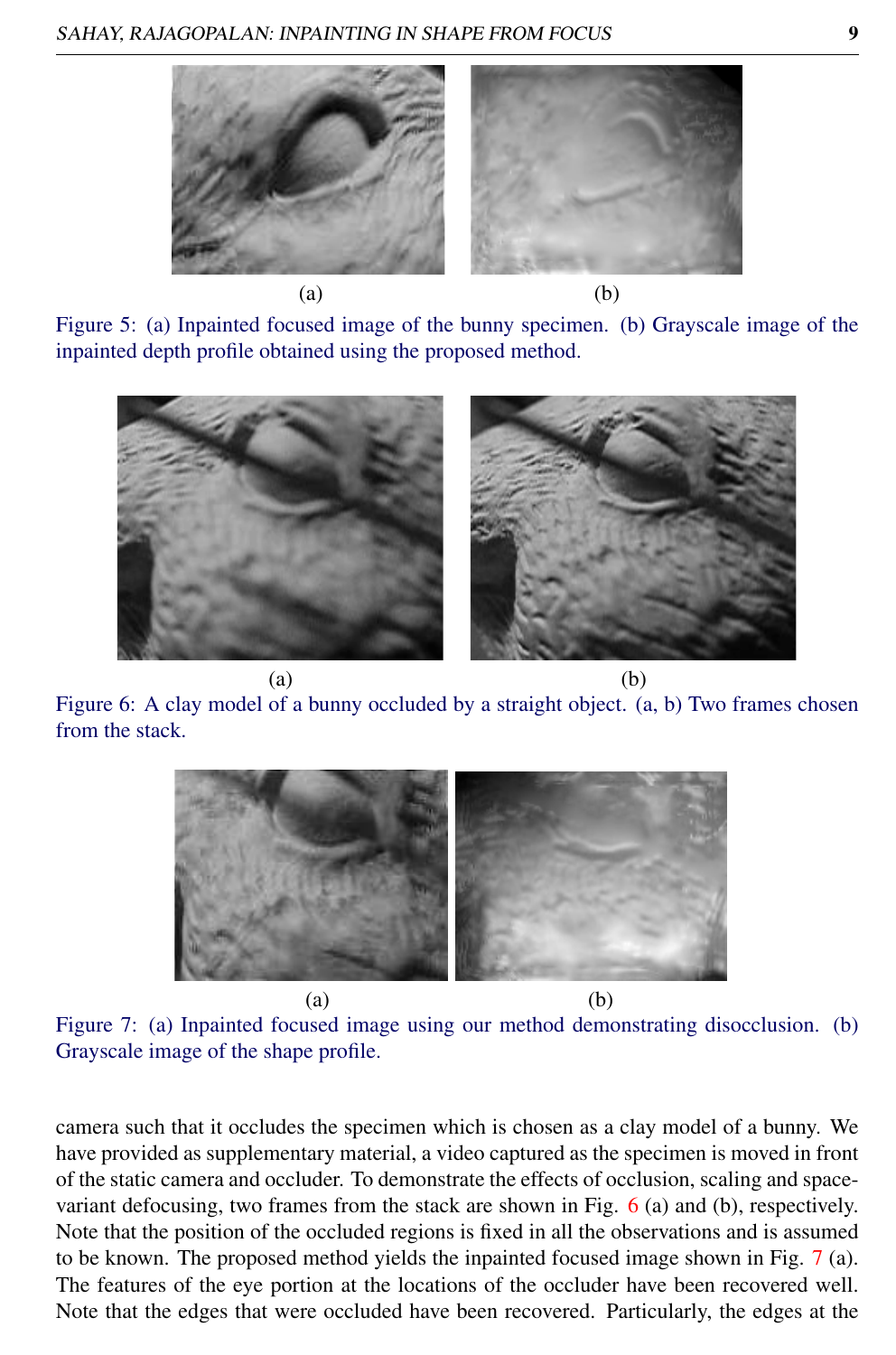

Figure 5: (a) Inpainted focused image of the bunny specimen. (b) Grayscale image of the inpainted depth profile obtained using the proposed method.



Figure 6: A clay model of a bunny occluded by a straight object. (a, b) Two frames chosen from the stack.



Figure 7: (a) Inpainted focused image using our method demonstrating disocclusion. (b) Grayscale image of the shape profile.

camera such that it occludes the specimen which is chosen as a clay model of a bunny. We have provided as supplementary material, a video captured as the specimen is moved in front of the static camera and occluder. To demonstrate the effects of occlusion, scaling and spacevariant defocusing, two frames from the stack are shown in Fig. 6 (a) and (b), respectively. Note that the position of the occluded regions is fixed in all the observations and is assumed to be known. The proposed method yields the inpainted focused image shown in Fig. 7 (a). The features of the eye portion at the locations of the occluder have been recovered well. Note that the edges that were occluded have been recovered. Particularly, the edges at the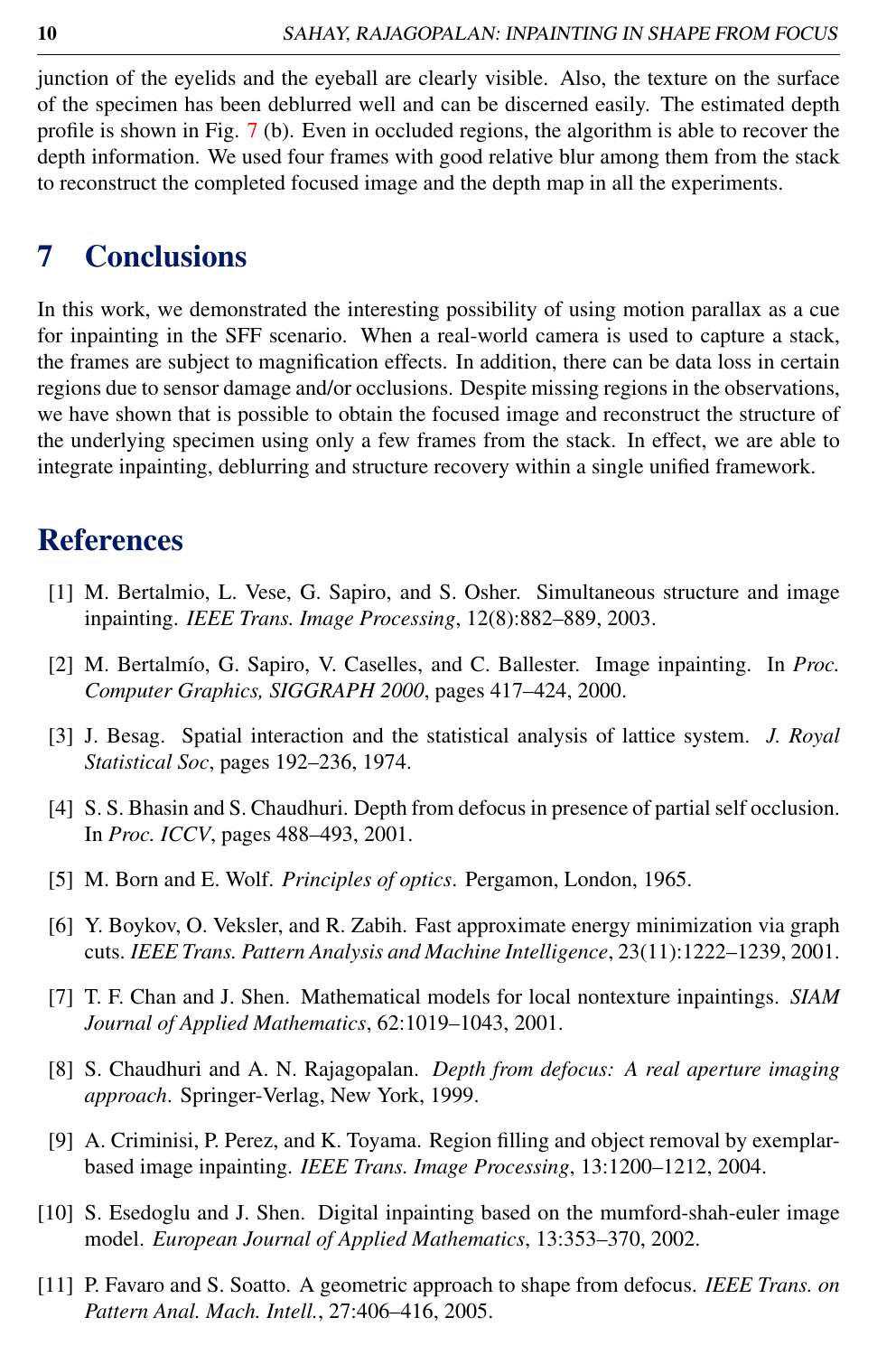junction of the eyelids and the eyeball are clearly visible. Also, the texture on the surface of the specimen has been deblurred well and can be discerned easily. The estimated depth profile is shown in Fig. 7 (b). Even in occluded regions, the algorithm is able to recover the depth information. We used four frames with good relative blur among them from the stack to reconstruct the completed focused image and the depth map in all the experiments.

# 7 Conclusions

In this work, we demonstrated the interesting possibility of using motion parallax as a cue for inpainting in the SFF scenario. When a real-world camera is used to capture a stack, the frames are subject to magnification effects. In addition, there can be data loss in certain regions due to sensor damage and/or occlusions. Despite missing regions in the observations, we have shown that is possible to obtain the focused image and reconstruct the structure of the underlying specimen using only a few frames from the stack. In effect, we are able to integrate inpainting, deblurring and structure recovery within a single unified framework.

# References

- [1] M. Bertalmio, L. Vese, G. Sapiro, and S. Osher. Simultaneous structure and image inpainting. *IEEE Trans. Image Processing*, 12(8):882–889, 2003.
- [2] M. Bertalmío, G. Sapiro, V. Caselles, and C. Ballester. Image inpainting. In *Proc. Computer Graphics, SIGGRAPH 2000*, pages 417–424, 2000.
- [3] J. Besag. Spatial interaction and the statistical analysis of lattice system. *J. Royal Statistical Soc*, pages 192–236, 1974.
- [4] S. S. Bhasin and S. Chaudhuri. Depth from defocus in presence of partial self occlusion. In *Proc. ICCV*, pages 488–493, 2001.
- [5] M. Born and E. Wolf. *Principles of optics*. Pergamon, London, 1965.
- [6] Y. Boykov, O. Veksler, and R. Zabih. Fast approximate energy minimization via graph cuts. *IEEE Trans. Pattern Analysis and Machine Intelligence*, 23(11):1222–1239, 2001.
- [7] T. F. Chan and J. Shen. Mathematical models for local nontexture inpaintings. *SIAM Journal of Applied Mathematics*, 62:1019–1043, 2001.
- [8] S. Chaudhuri and A. N. Rajagopalan. *Depth from defocus: A real aperture imaging approach*. Springer-Verlag, New York, 1999.
- [9] A. Criminisi, P. Perez, and K. Toyama. Region filling and object removal by exemplarbased image inpainting. *IEEE Trans. Image Processing*, 13:1200–1212, 2004.
- [10] S. Esedoglu and J. Shen. Digital inpainting based on the mumford-shah-euler image model. *European Journal of Applied Mathematics*, 13:353–370, 2002.
- [11] P. Favaro and S. Soatto. A geometric approach to shape from defocus. *IEEE Trans. on Pattern Anal. Mach. Intell.*, 27:406–416, 2005.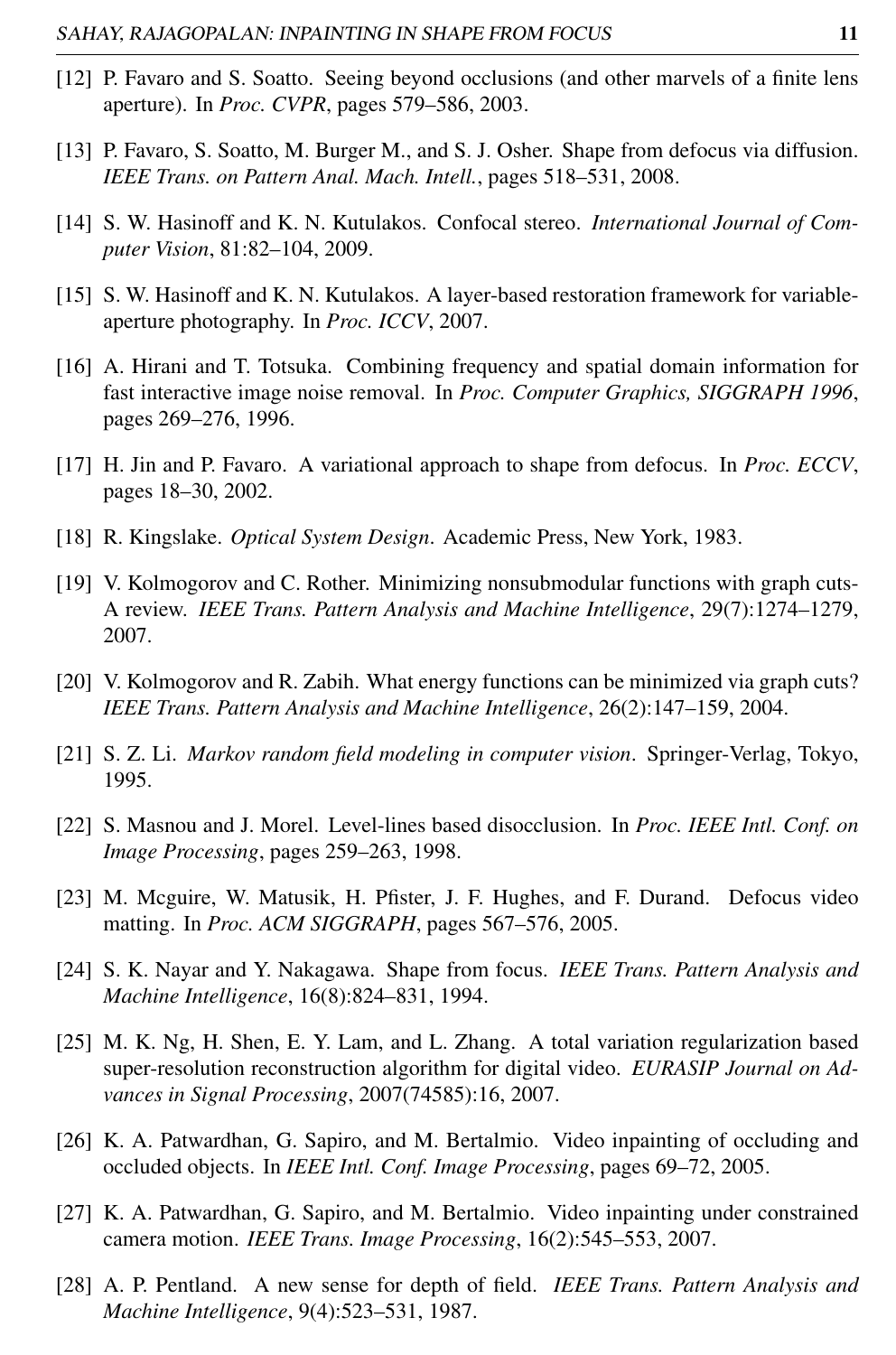- [12] P. Favaro and S. Soatto. Seeing beyond occlusions (and other marvels of a finite lens aperture). In *Proc. CVPR*, pages 579–586, 2003.
- [13] P. Favaro, S. Soatto, M. Burger M., and S. J. Osher. Shape from defocus via diffusion. *IEEE Trans. on Pattern Anal. Mach. Intell.*, pages 518–531, 2008.
- [14] S. W. Hasinoff and K. N. Kutulakos. Confocal stereo. *International Journal of Computer Vision*, 81:82–104, 2009.
- [15] S. W. Hasinoff and K. N. Kutulakos. A layer-based restoration framework for variableaperture photography. In *Proc. ICCV*, 2007.
- [16] A. Hirani and T. Totsuka. Combining frequency and spatial domain information for fast interactive image noise removal. In *Proc. Computer Graphics, SIGGRAPH 1996*, pages 269–276, 1996.
- [17] H. Jin and P. Favaro. A variational approach to shape from defocus. In *Proc. ECCV*, pages 18–30, 2002.
- [18] R. Kingslake. *Optical System Design*. Academic Press, New York, 1983.
- [19] V. Kolmogorov and C. Rother. Minimizing nonsubmodular functions with graph cuts-A review. *IEEE Trans. Pattern Analysis and Machine Intelligence*, 29(7):1274–1279, 2007.
- [20] V. Kolmogorov and R. Zabih. What energy functions can be minimized via graph cuts? *IEEE Trans. Pattern Analysis and Machine Intelligence*, 26(2):147–159, 2004.
- [21] S. Z. Li. *Markov random field modeling in computer vision*. Springer-Verlag, Tokyo, 1995.
- [22] S. Masnou and J. Morel. Level-lines based disocclusion. In *Proc. IEEE Intl. Conf. on Image Processing*, pages 259–263, 1998.
- [23] M. Mcguire, W. Matusik, H. Pfister, J. F. Hughes, and F. Durand. Defocus video matting. In *Proc. ACM SIGGRAPH*, pages 567–576, 2005.
- [24] S. K. Nayar and Y. Nakagawa. Shape from focus. *IEEE Trans. Pattern Analysis and Machine Intelligence*, 16(8):824–831, 1994.
- [25] M. K. Ng, H. Shen, E. Y. Lam, and L. Zhang. A total variation regularization based super-resolution reconstruction algorithm for digital video. *EURASIP Journal on Advances in Signal Processing*, 2007(74585):16, 2007.
- [26] K. A. Patwardhan, G. Sapiro, and M. Bertalmio. Video inpainting of occluding and occluded objects. In *IEEE Intl. Conf. Image Processing*, pages 69–72, 2005.
- [27] K. A. Patwardhan, G. Sapiro, and M. Bertalmio. Video inpainting under constrained camera motion. *IEEE Trans. Image Processing*, 16(2):545–553, 2007.
- [28] A. P. Pentland. A new sense for depth of field. *IEEE Trans. Pattern Analysis and Machine Intelligence*, 9(4):523–531, 1987.